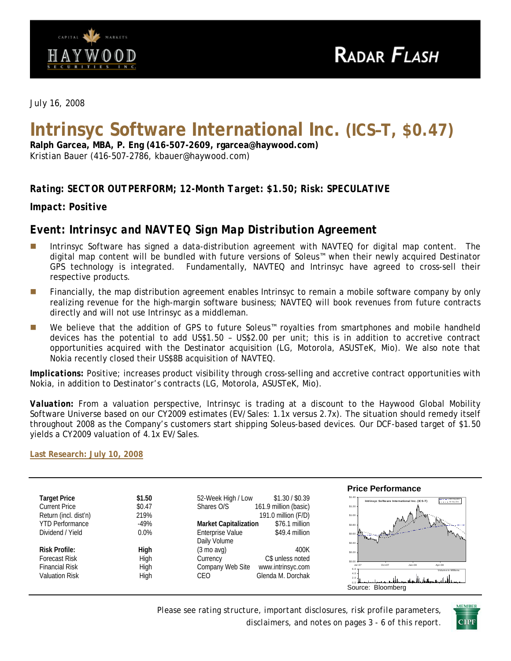

*July 16, 2008* 

# **Intrinsyc Software International Inc. (ICS–T, \$0.47)**

**Ralph Garcea, MBA, P. Eng (416-507-2609, rgarcea@haywood.com)**  Kristian Bauer (416-507-2786, kbauer@haywood.com)

## *Rating: SECTOR OUTPERFORM; 12-Month Target: \$1.50; Risk: SPECULATIVE*

*Impact: Positive* 

## *Event: Intrinsyc and NAVTEQ Sign Map Distribution Agreement*

- Intrinsyc Software has signed a data-distribution agreement with NAVTEQ for digital map content. The digital map content will be bundled with future versions of Soleus™ when their newly acquired Destinator GPS technology is integrated. Fundamentally, NAVTEQ and Intrinsyc have agreed to cross-sell their respective products.
- **Financially, the map distribution agreement enables Intrinsyc to remain a mobile software company by only** realizing revenue for the high-margin software business; NAVTEQ will book revenues from future contracts directly and will not use Intrinsyc as a middleman.
- We believe that the addition of GPS to future Soleus™ royalties from smartphones and mobile handheld devices has the potential to add US\$1.50 – US\$2.00 per unit; this is in addition to accretive contract opportunities acquired with the Destinator acquisition (LG, Motorola, ASUSTeK, Mio). We also note that Nokia recently closed their US\$8B acquisition of NAVTEQ.

*Implications:* Positive; increases product visibility through cross-selling and accretive contract opportunities with Nokia, in addition to Destinator's contracts (LG, Motorola, ASUSTeK, Mio).

*Valuation:* From a valuation perspective, Intrinsyc is trading at a discount to the Haywood Global Mobility Software Universe based on our CY2009 estimates (EV/Sales: 1.1x versus 2.7x). The situation should remedy itself throughout 2008 as the Company's customers start shipping Soleus-based devices. Our DCF-based target of \$1.50 yields a CY2009 valuation of 4.1x EV/Sales.

**[Last Research: July 10, 2008](http://www.haywood.com/pdffiles/ICSJul102008.pdf)**

|                        |        |                                                | <b>Price Performance</b>                                                                                     |
|------------------------|--------|------------------------------------------------|--------------------------------------------------------------------------------------------------------------|
| <b>Target Price</b>    | \$1.50 | 52-Week High / Low<br>\$1.30 / \$0.39          | $$1,40$ $$$<br>$- - - - 200$ -Day MA<br>Intrinsyc Software International Inc. (ICS-T)<br>$- - - - 50$ Cay MA |
| <b>Current Price</b>   | \$0.47 | 161.9 million (basic)<br>Shares O/S            | \$1.20                                                                                                       |
| Return (incl. dist'n)  | 219%   | 191.0 million (F/D)                            | \$1.00                                                                                                       |
| <b>YTD Performance</b> | $-49%$ | \$76.1 million<br><b>Market Capitalization</b> | 秘<br>\$0.80                                                                                                  |
| Dividend / Yield       | 0.0%   | <b>Enterprise Value</b><br>\$49.4 million      | \$0.60                                                                                                       |
|                        |        | Daily Volume                                   | \$0.40.                                                                                                      |
| <b>Risk Profile:</b>   | High   | $(3 \text{ mo }$ avg $)$<br>400K               | \$0.20                                                                                                       |
| <b>Forecast Risk</b>   | High   | C\$ unless noted<br>Currency                   | \$0.00                                                                                                       |
| <b>Financial Risk</b>  | High   | Company Web Site<br>www.intrinsyc.com          | Apr-08<br>$Jul -07$<br>$Oct-07$<br>$Jan-08$<br>Volume in Millions                                            |
| <b>Valuation Risk</b>  | High   | Glenda M. Dorchak<br>CEO                       | 4.0<br>2.0                                                                                                   |
|                        |        |                                                | Source: Bloomberg                                                                                            |

*Please see rating structure, important disclosures, risk profile parameters, disclaimers, and notes on pages 3 - 6 of this report*.

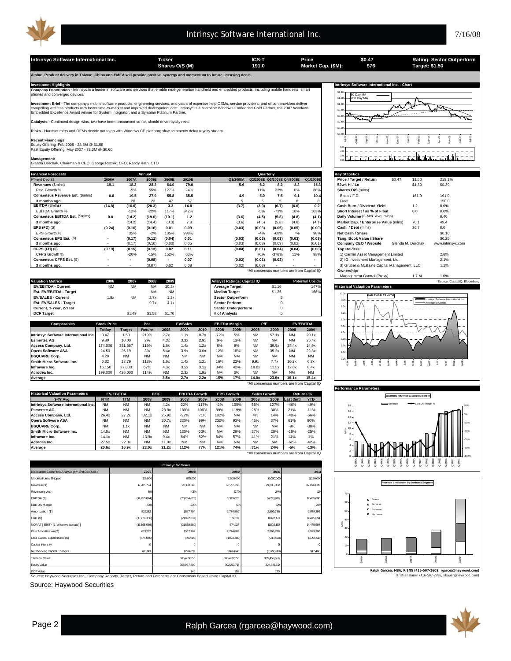

#### Intrinsyc Software International Inc. 2008 2012 11:00:00 12:00:00 12:00:00 12:00:00 12:00:00 12:00:00 12:00:00

**Intrinsyc Software International Inc. Ticker Ticker ICS-T Price SO.47 Rating: Sector Outperform**<br>
Shares O/S (M) 191.0 Market Cap. (\$M): \$76 Target: \$1.50 **\$0.47 \$76 Shares O/S (M) Market Cap. (\$M): 191.0 Target: \$1.50 ha: Product delivery in Taiwan, China and EMEA will provide positive synergy and momentum to future licensing d** Investment Highlights Mathemational Inc. - Chart<br>Company Description - Intrinsyc is a leader in software and services that enable next-generation handheld and embedded products, including mobile handsets, smart state of th \$1.40 50 Day MA 200 Day MA \$1.20  $\overline{...}$  $$1.0$ **Investment Brief** - The company's mobile software products, engineering services, and years of expertise help OEMs, service providers, and silicon providers deliver<br>compelling wireless products with faster time-to-market へへ \$0.80 **The Contract of Changes** \$0.60 πÈ **Catalysts** - Continued design wins, two have been announced so far, should drive royalty revs. \$0.40 **Risks** - Handset mftrs and OEMs decide not to go with Windows CE platform; slow shipments delay royalty stream. \$0.20 \$0.00 Nov-07 May-08 Jun-08 Jul-08 **Recent Financings**: Jul-07 Aug-07 Sep-07  $\frac{67}{67}$ Dec-07 Jan-08 Feb-08 Mar-08 Apr-08 Equity Offering Feb 2008 - 28.6M @ \$1.05 Past Equity Offering May 2007 - 33.3M @ \$0.60 6.0 2.0 4.0 تلاتيت ℔ℴℸ⅄ℸⅆ **Management:** Glenda Dorchak, Chairman & CEO; George Reznik, CFO; Randy Kath, CTO  $\sum_{\alpha}$ **Financial Forecasts Statistics Annual** Annual Annual Annual Annual Annual Annual Annual Annual Annual Annual Annual Annual Annual Annual Annual Annual Annual Annual Annual Annual Annual Annual Annual Annual Annual Annua **Annual Quarterly** FY-end Dec-31 **2006A 2007A 2008E 2009E 2010E Q1/2008A Q2/2008E Q3/2008E Q4/2008E Q1/2009E Price / Target / Return** \$0.47 \$1.50 219.1% **Revenues** (\$mlns) **19.1 18.2 28.2 64.0 79.0 5.6 6.2 8.2 8.2 15.3 52wk Hi / Lo** \$1.30 \$0.39 Rev. Growth % -5% 55% 127% 24% 11% 33% 0% 86% **Shares O/S** (mlns) **Consensus Revenue Est.** (\$mlns) **0.0 19.5 27.9 55.8 65.5 4.9 5.0 7.5 9.1 10.4** Basic / F.D. 161.9 191.0 **3 months ago. - 20 23 47 57 | 5 5 6 8 Float** 150.0 **EBITDA** (\$mlns) **(14.8) (16.6) (20.3) 3.3 14.8 (3.7) (3.9) (6.7) (6.0) 0.2 Cash Burn / Dividend Yield** 1.2 0.0% EBITDA Growth % -12% -22% 117% 342% -5% -73% 10% 103% **Short Interest / as % of Float** 0.0 0.0% Consensus EBITDA Est. (\$mlns) **0.0 (14.2)** (19.0) (10.1) 1.2 (3.6) (4.5) (5.8) (4.8) (4.1) **Daily Volume (**3-Mth. Avg. mlns) 0.0 (14.2) (19.0) (10.1) 1.2 (3.6) (4.5) (5.8) (4.8) (4.1) **Daily Volume (**3-Mth. Avg. mlns) 0.40 **3 12.6** 13.6)  $(4.5)$   $(5.8)$   $(4.4)$   $(4.1)$  **Market Cap. / Enterprise Value** (mlns)<br> **3.01 12.09 4.5** (0.03) **4.0.25** (0.05) **4.0.25 4.6 4.5 4.5 4.6 4.5 4.6 4.6 4.6 4.6 4.6 4.6 4.6 4.6 4.6 EPS (FD)** (\$) **(0.24) (0.16) 0.01 0.09 (0.16) (0.03) (0.03) (0.05) (0.05) (0.00) Cash / Debt** (mlns) 26.7 0.0 EPS Growth % 35% -2% 105% 998% -4% -68% 7% 98% **Net Cash / Share** \$0.16 **Consensus EPS Est.** (\$) **.** (**0.17) 2.01 (0.04) 2.01 Consensus EPS Est. (\$) - (0.17) (0.17) (0.17) 2.04) 2.01 2.03 2.03 2.03 2.03 2.04) 2.049 2.049 2.049 2.049 2.049 2.049 2.049 3 months ago.** (0.17) (0.10) (0.00) 0.05 (0.03) (0.03) (0.02) (0.02) (0.01) **Company CEO / Website** Glenda M. Dorchak www.intrinsyc.com **CFPS (FD)** (\$) **(0.19) (0.15) 0.07 0.11 (0.13) (0.04) (0.01) (0.04) (0.04) (0.00) Top Holders:** CFPS Growth % -20% -15% 152% 63% 76% -378% 11% 98% 1) Camlin Asset Management Limited 2.8% **Consensus CFPS Est.** (\$) **- (0.08) - 0.07 - (0.02) (0.01) (0.02) - -** 2) IG Investment Management, Ltd. 2.1% **3 months ago.** - (0.07) - 0.02 0.08 (0.02) (0.03) - - - 3) Gruber & McBaine Capital Management, LLC 1.1% \*All consensus numbers are from Capital IQ **Ownership:** Management Control (Proxy) 1.7 M 1.0% **Valuation Metrics 2006 2007 2008 2009 Analyst Ratings: Capital IQ Potential Upside \*Source: Capital Upside \*Source: CapitalIQ, Bloomberg EV/EBITDA - Current** NM NM NM 20.1x **Average Target** \$1.16 147% **Historical Valuation Parameters** Est. EV/EBITDA - Target<br>
Est. EV/EBITDA - Target<br>
EV/SALES - Current **1.9x** 1.9x NM 2.7x 1.1x **Sector Outperform** 5 **EV/SALES - Current** 1.9x NM 2.7x 1.1x **Sector Outperform** 5 10.0x **FWD EV/SALES - NTM**  9.0x Intrinsyc Software International Inc. **Est. EV/SALES - Target** 9.7x 4.1x **Sector Perform** 9.7x 9.7x 4.1x **Sector Perform** 9.0 Average of Comps **Current, 1-Year, 2-Year** 8.0x 7.0x **DCF Target** \$1.49 \$1.58 \$1.70 **# of Analysts** 5 .<br>60 **Comparables Stock Price Price Prode Price Price Price Price Price Price Price Price Price Price Price Price Price Price Price Price Price Price Price Price Price Price P EBITDA Margin P/E EV/EBITDA** 5.0x **EV/Sales Target Return 2008 2009 2010 2008 20**<br>1.50 219% 2.7x 1.1x 0.7x -72% 5<sup>0</sup> 4.0x **Intrinsyc Software International Inc.** 0.47 1.50 219% 2.7x 1.1x 0.7x -72% 5% NM 57.1x NM 20.1x 3.0x **Esmertec AG** 9.80 10.00 2% 4.3x 3.3x 2.9x 9% 13% NM NM NM 25.4x **Access Company, Ltd.** 174,000 381,667 1.19% 1.6x 1.4x 1.2x 6% 9% NM 39.9x 25.4x 1.4x<br>**Pera Software ASA 2**4.50 25.19 3% 5.4x 3.9x 3.0x 12% 18% NM 35.2x NM 22.3x<br>**Pera Software ASA** 24.50 25.19 3% 5.4x 3.9x 3.0x 12% 18% N  $2.0<sub>2</sub>$ **Opera Software ASA** 24.50 25.19 3% 5.4x 3.9x 3.0x 12% 18% NM 35.2x NM 22.3x  $1.0$ **BSQUARE Corp.** 4.20 NM NM NM NM NM NM NM NM NM NM NM  $\sim$ **Smith Micro Software Inc.** 6.32 13.79 118% 1.6x 1.4x 1.2x 16% 22% 9.9x 7.7x 10.2x 6.2x Oct04 Den starte starte starte starte starte starte starte starte starte starte starte starte starte starte starte s<br>Den starte starte starte starte starte starte starte starte starte starte starte starte starte starte starte s **Infraware Inc.** 16,150 | 27,000 | 67% | 4.3x 3.5x 3.1x | 34% 42% | 18.0x 11.5x | 12.8x 8.4x **Acrodea Inc.** 199,000 425,000 114% NM 2.3x 1.9x NM 0% NM NM NM NM **Average 3.5x 2.7x 2.2x 15% 17% 14.0x 23.6x 16.1x 15.4x** \*All consensus numbers are from Capital IQ **Performance Parameters Historical Valuation Parameters EV/EBITDA P/CF EBITDA Growth Sales Growth Returns % EPS Growth Quarterly Revenue & EBITDA Margin 3-Yr Avg. NTM TTM 2008 2009 2008 2009 2008 2009 2008 2009 Last 3mth YTD Intrinsyc Software International Inc.** NM NM NM 4.2x 22% -117% -2% 105% 55% 127% -46% -49%<br>**Intertional Software International Inc.** NM NM NM 28.8x 189% 100% 89% 119% 26% 30% 21% -11% Revenue **EBITDA** Margin % Parties of the Parties of the EBITDA Margin % 18 **Esmertec AG** NM NM NM 28.8x 189% 100% 89% 119% 26% 30% 21% -11% 16 0% **Access Company, Ltd.** 26.4x 27.2x 32.1x 25.9x -32% 71% 102% NM 4% 14% -40% -66% **Opera Software ASA** NM NM NM 30.7x 220% 99% 230% 93% 45% 37% 61% 90% 14

**BSQUARE Corp.** NM 1.1x NM NM NM NM NM NM NM NM -9% -38% **Smith Micro Software Inc.** 14.5x NM NM NM 120% 63% NM 29% 37% 20% -18% -25% **Infraware Inc.** 14.1x NM 13.9x 9.4x 64% 52% 64% 57% 41% 21% 14% 1% **Acrodea Inc.** 27.5x 22.3x NM 11.0x NM NM NM NM NM NM -62% -42% **Average 20.6x 16.9x 23.0x 21.2x 112% 77% 121% 74% 31% 24% -5% -13%** \*All consensus numbers are from Capital IQ

| <b>Intrinsyc Software</b>                        |                |               |             |             |             |  |  |  |
|--------------------------------------------------|----------------|---------------|-------------|-------------|-------------|--|--|--|
| Discounted Cash Flow Analysis (FY-End Dec, US\$) | 2007           | 2008          | 2009        | 2010        | 2011        |  |  |  |
| Modeled Units Shipped                            | 125,000        | 675,000       | 7,500,000   | 10,000,000  | 11,250,000  |  |  |  |
| Revenue (\$)                                     | 19,705,794     | 28, 88, 280   | 63,955,155  | 79,035,002  | 87,876,002  |  |  |  |
| Revenue growth                                   | 6%             | 43%           | 127%        | 24%         | 11%         |  |  |  |
| EBITDA (\$)                                      | (14,455,074)   | (20.254, 629) | 3,349,025   | 14,791,936  | 17,455,080  |  |  |  |
| <b>EBITDA</b> Margin                             | $-73%$         | $-72%$        | 5%          | 19%         | 20%         |  |  |  |
| Amortization (\$)                                | 821282         | 1567,704      | 2,774,889   | 2,899,786   | 2,979,386   |  |  |  |
| EBIT (\$)                                        | (15, 276, 356) | (21822,332)   | 574,137     | 11892,150   | 14,475,694  |  |  |  |
| NOPAT [EBIT * (1- effective tax rate) ]          | (15,565,689)   | (21868, 580)  | 574,137     | 11892,150   | 14,475,694  |  |  |  |
| Plus Amortization (\$)                           | 821282         | 1567,704      | 2,774,889   | 2,899,786   | 2,979,386   |  |  |  |
| Less Capital Expenditures (\$)                   | (575,046)      | (699, 103)    | (1023, 282) | (948, 420)  | (1054, 512) |  |  |  |
| Capital Intensity                                | $^{\circ}$     | $^{\circ}$    | O           |             |             |  |  |  |
| Net Working Capital Changes                      | 471143         | 1290,692      | 3,826,040   | (1522,740)  | 347,466     |  |  |  |
| <b>Terminal Value</b>                            |                | 305,459,556   | 305,459,556 | 305,459,556 |             |  |  |  |
| Equity Value                                     |                | 268,987,300   | 302,213,717 | 324,841,710 |             |  |  |  |
| <b>DCF Value</b>                                 |                | 149           | 158         | 170         |             |  |  |  |

Source: Haywood Securities Inc., Company Reports, Target, Return and Forecasts are Consensus Based Using Capital IQ. Kristian Bauer (416-507-2786, kbauer@haywood.com) DCF Value

Source: Haywood Securities



2008E

2007A

Q2/09E Q3/09E Q4/09E -100% -80% -60% -40% -20%

2005A

2006A

 Soleus Services Software Hardware

Mlns

Q4/05A

Q1/06<br>Q3/06A Q4/07A<br>Q3/08A Q1/07A Q4/07A<br>Q4/07A Q4/07A Q1/08E<br>Q1/08E Q4/07A Q1/08E

**Revenue Breakdown by Business Segment**



2009E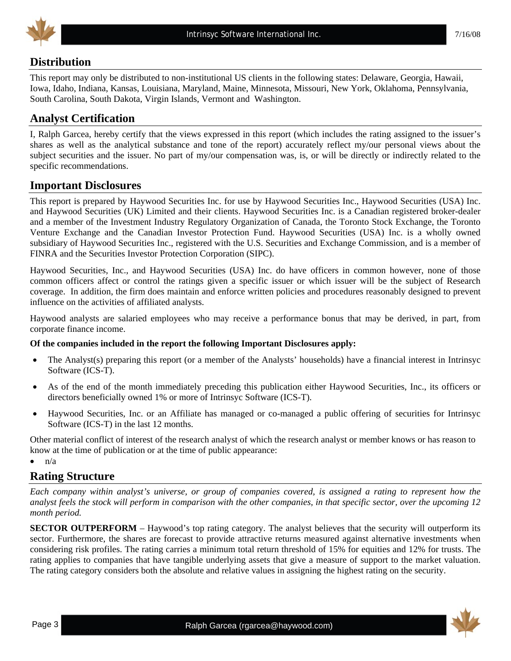

## **Distribution**

This report may only be distributed to non-institutional US clients in the following states: Delaware, Georgia, Hawaii, Iowa, Idaho, Indiana, Kansas, Louisiana, Maryland, Maine, Minnesota, Missouri, New York, Oklahoma, Pennsylvania, South Carolina, South Dakota, Virgin Islands, Vermont and Washington.

## **Analyst Certification**

I, Ralph Garcea, hereby certify that the views expressed in this report (which includes the rating assigned to the issuer's shares as well as the analytical substance and tone of the report) accurately reflect my/our personal views about the subject securities and the issuer. No part of my/our compensation was, is, or will be directly or indirectly related to the specific recommendations.

## **Important Disclosures**

This report is prepared by Haywood Securities Inc. for use by Haywood Securities Inc., Haywood Securities (USA) Inc. and Haywood Securities (UK) Limited and their clients. Haywood Securities Inc. is a Canadian registered broker-dealer and a member of the Investment Industry Regulatory Organization of Canada, the Toronto Stock Exchange, the Toronto Venture Exchange and the Canadian Investor Protection Fund. Haywood Securities (USA) Inc. is a wholly owned subsidiary of Haywood Securities Inc., registered with the U.S. Securities and Exchange Commission, and is a member of FINRA and the Securities Investor Protection Corporation (SIPC).

Haywood Securities, Inc., and Haywood Securities (USA) Inc. do have officers in common however, none of those common officers affect or control the ratings given a specific issuer or which issuer will be the subject of Research coverage. In addition, the firm does maintain and enforce written policies and procedures reasonably designed to prevent influence on the activities of affiliated analysts.

Haywood analysts are salaried employees who may receive a performance bonus that may be derived, in part, from corporate finance income.

#### **Of the companies included in the report the following Important Disclosures apply:**

- The Analyst(s) preparing this report (or a member of the Analysts' households) have a financial interest in Intrinsyc Software (ICS-T).
- As of the end of the month immediately preceding this publication either Haywood Securities, Inc., its officers or directors beneficially owned 1% or more of Intrinsyc Software (ICS-T).
- Haywood Securities, Inc. or an Affiliate has managed or co-managed a public offering of securities for Intrinsyc Software (ICS-T) in the last 12 months.

Other material conflict of interest of the research analyst of which the research analyst or member knows or has reason to know at the time of publication or at the time of public appearance:

 $\bullet$   $\frac{n}{a}$ 

## **Rating Structure**

*Each company within analyst's universe, or group of companies covered, is assigned a rating to represent how the analyst feels the stock will perform in comparison with the other companies, in that specific sector, over the upcoming 12 month period.* 

**SECTOR OUTPERFORM** – Haywood's top rating category. The analyst believes that the security will outperform its sector. Furthermore, the shares are forecast to provide attractive returns measured against alternative investments when considering risk profiles. The rating carries a minimum total return threshold of 15% for equities and 12% for trusts. The rating applies to companies that have tangible underlying assets that give a measure of support to the market valuation. The rating category considers both the absolute and relative values in assigning the highest rating on the security.

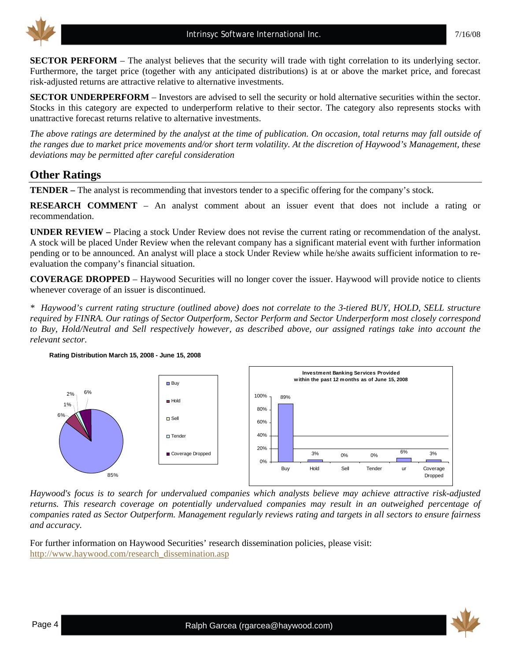

**SECTOR PERFORM** – The analyst believes that the security will trade with tight correlation to its underlying sector. Furthermore, the target price (together with any anticipated distributions) is at or above the market price, and forecast risk-adjusted returns are attractive relative to alternative investments.

**SECTOR UNDERPERFORM** – Investors are advised to sell the security or hold alternative securities within the sector. Stocks in this category are expected to underperform relative to their sector. The category also represents stocks with unattractive forecast returns relative to alternative investments.

*The above ratings are determined by the analyst at the time of publication. On occasion, total returns may fall outside of the ranges due to market price movements and/or short term volatility. At the discretion of Haywood's Management, these deviations may be permitted after careful consideration* 

## **Other Ratings**

**TENDER –** The analyst is recommending that investors tender to a specific offering for the company's stock.

**RESEARCH COMMENT** – An analyst comment about an issuer event that does not include a rating or recommendation.

**UNDER REVIEW –** Placing a stock Under Review does not revise the current rating or recommendation of the analyst. A stock will be placed Under Review when the relevant company has a significant material event with further information pending or to be announced. An analyst will place a stock Under Review while he/she awaits sufficient information to reevaluation the company's financial situation.

**COVERAGE DROPPED** – Haywood Securities will no longer cover the issuer. Haywood will provide notice to clients whenever coverage of an issuer is discontinued.

*\* Haywood's current rating structure (outlined above) does not correlate to the 3-tiered BUY, HOLD, SELL structure required by FINRA. Our ratings of Sector Outperform, Sector Perform and Sector Underperform most closely correspond to Buy, Hold/Neutral and Sell respectively however, as described above, our assigned ratings take into account the relevant sector.* 



**Rating Distribution March 15, 2008 - June 15, 2008**

*Haywood's focus is to search for undervalued companies which analysts believe may achieve attractive risk-adjusted returns. This research coverage on potentially undervalued companies may result in an outweighed percentage of companies rated as Sector Outperform. Management regularly reviews rating and targets in all sectors to ensure fairness and accuracy.* 

For further information on Haywood Securities' research dissemination policies, please visit: [http://www.haywood.com/research\\_dissemination.asp](http://www.haywood.com/research_dissemination.asp) 

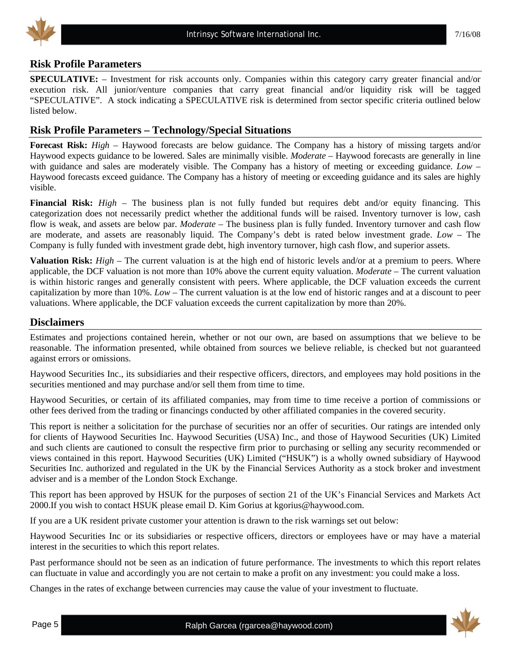

#### **Risk Profile Parameters**

**SPECULATIVE:** – Investment for risk accounts only. Companies within this category carry greater financial and/or execution risk. All junior/venture companies that carry great financial and/or liquidity risk will be tagged "SPECULATIVE". A stock indicating a SPECULATIVE risk is determined from sector specific criteria outlined below listed below.

### **Risk Profile Parameters – Technology/Special Situations**

**Forecast Risk:** *High* – Haywood forecasts are below guidance. The Company has a history of missing targets and/or Haywood expects guidance to be lowered. Sales are minimally visible. *Moderate* – Haywood forecasts are generally in line with guidance and sales are moderately visible. The Company has a history of meeting or exceeding guidance. *Low* – Haywood forecasts exceed guidance. The Company has a history of meeting or exceeding guidance and its sales are highly visible.

**Financial Risk:** *High* – The business plan is not fully funded but requires debt and/or equity financing. This categorization does not necessarily predict whether the additional funds will be raised. Inventory turnover is low, cash flow is weak, and assets are below par. *Moderate* – The business plan is fully funded. Inventory turnover and cash flow are moderate, and assets are reasonably liquid. The Company's debt is rated below investment grade. *Low* – The Company is fully funded with investment grade debt, high inventory turnover, high cash flow, and superior assets.

**Valuation Risk:** *High* – The current valuation is at the high end of historic levels and/or at a premium to peers. Where applicable, the DCF valuation is not more than 10% above the current equity valuation. *Moderate* – The current valuation is within historic ranges and generally consistent with peers. Where applicable, the DCF valuation exceeds the current capitalization by more than 10%. *Low* – The current valuation is at the low end of historic ranges and at a discount to peer valuations. Where applicable, the DCF valuation exceeds the current capitalization by more than 20%.

#### **Disclaimers**

Estimates and projections contained herein, whether or not our own, are based on assumptions that we believe to be reasonable. The information presented, while obtained from sources we believe reliable, is checked but not guaranteed against errors or omissions.

Haywood Securities Inc., its subsidiaries and their respective officers, directors, and employees may hold positions in the securities mentioned and may purchase and/or sell them from time to time.

Haywood Securities, or certain of its affiliated companies, may from time to time receive a portion of commissions or other fees derived from the trading or financings conducted by other affiliated companies in the covered security.

This report is neither a solicitation for the purchase of securities nor an offer of securities. Our ratings are intended only for clients of Haywood Securities Inc. Haywood Securities (USA) Inc., and those of Haywood Securities (UK) Limited and such clients are cautioned to consult the respective firm prior to purchasing or selling any security recommended or views contained in this report. Haywood Securities (UK) Limited ("HSUK") is a wholly owned subsidiary of Haywood Securities Inc. authorized and regulated in the UK by the Financial Services Authority as a stock broker and investment adviser and is a member of the London Stock Exchange.

This report has been approved by HSUK for the purposes of section 21 of the UK's Financial Services and Markets Act 2000.If you wish to contact HSUK please email D. Kim Gorius at kgorius@haywood.com.

If you are a UK resident private customer your attention is drawn to the risk warnings set out below:

Haywood Securities Inc or its subsidiaries or respective officers, directors or employees have or may have a material interest in the securities to which this report relates.

Past performance should not be seen as an indication of future performance. The investments to which this report relates can fluctuate in value and accordingly you are not certain to make a profit on any investment: you could make a loss.

Changes in the rates of exchange between currencies may cause the value of your investment to fluctuate.